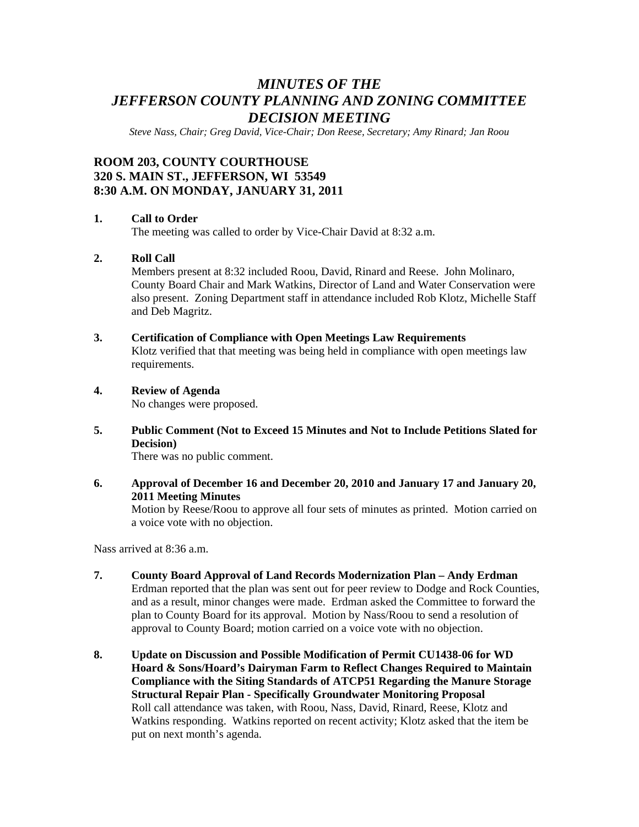# *MINUTES OF THE JEFFERSON COUNTY PLANNING AND ZONING COMMITTEE DECISION MEETING*

*Steve Nass, Chair; Greg David, Vice-Chair; Don Reese, Secretary; Amy Rinard; Jan Roou* 

# **ROOM 203, COUNTY COURTHOUSE 320 S. MAIN ST., JEFFERSON, WI 53549 8:30 A.M. ON MONDAY, JANUARY 31, 2011**

#### **1. Call to Order**

The meeting was called to order by Vice-Chair David at 8:32 a.m.

# **2. Roll Call**

Members present at 8:32 included Roou, David, Rinard and Reese. John Molinaro, County Board Chair and Mark Watkins, Director of Land and Water Conservation were also present. Zoning Department staff in attendance included Rob Klotz, Michelle Staff and Deb Magritz.

# **3. Certification of Compliance with Open Meetings Law Requirements**

Klotz verified that that meeting was being held in compliance with open meetings law requirements.

### **4. Review of Agenda**

No changes were proposed.

**5. Public Comment (Not to Exceed 15 Minutes and Not to Include Petitions Slated for Decision)** 

There was no public comment.

**6. Approval of December 16 and December 20, 2010 and January 17 and January 20, 2011 Meeting Minutes** 

Motion by Reese/Roou to approve all four sets of minutes as printed. Motion carried on a voice vote with no objection.

Nass arrived at 8:36 a.m.

- **7. County Board Approval of Land Records Modernization Plan Andy Erdman**  Erdman reported that the plan was sent out for peer review to Dodge and Rock Counties, and as a result, minor changes were made. Erdman asked the Committee to forward the plan to County Board for its approval. Motion by Nass/Roou to send a resolution of approval to County Board; motion carried on a voice vote with no objection.
- **8. Update on Discussion and Possible Modification of Permit CU1438-06 for WD Hoard & Sons/Hoard's Dairyman Farm to Reflect Changes Required to Maintain Compliance with the Siting Standards of ATCP51 Regarding the Manure Storage Structural Repair Plan - Specifically Groundwater Monitoring Proposal**  Roll call attendance was taken, with Roou, Nass, David, Rinard, Reese, Klotz and Watkins responding. Watkins reported on recent activity; Klotz asked that the item be put on next month's agenda.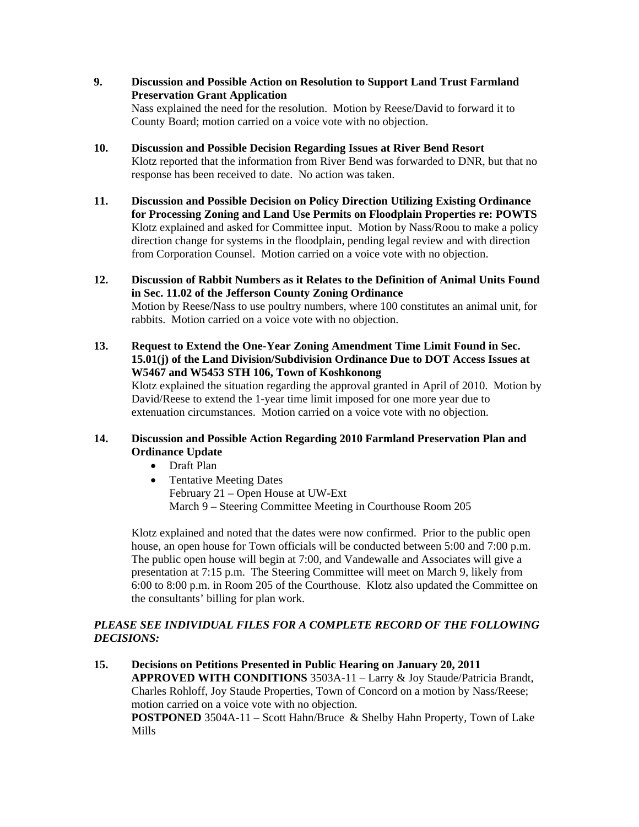- **9. Discussion and Possible Action on Resolution to Support Land Trust Farmland Preservation Grant Application**  Nass explained the need for the resolution. Motion by Reese/David to forward it to County Board; motion carried on a voice vote with no objection.
- **10. Discussion and Possible Decision Regarding Issues at River Bend Resort**  Klotz reported that the information from River Bend was forwarded to DNR, but that no response has been received to date. No action was taken.
- **11. Discussion and Possible Decision on Policy Direction Utilizing Existing Ordinance for Processing Zoning and Land Use Permits on Floodplain Properties re: POWTS**  Klotz explained and asked for Committee input. Motion by Nass/Roou to make a policy direction change for systems in the floodplain, pending legal review and with direction from Corporation Counsel. Motion carried on a voice vote with no objection.
- **12. Discussion of Rabbit Numbers as it Relates to the Definition of Animal Units Found in Sec. 11.02 of the Jefferson County Zoning Ordinance**  Motion by Reese/Nass to use poultry numbers, where 100 constitutes an animal unit, for rabbits. Motion carried on a voice vote with no objection.
- **13. Request to Extend the One-Year Zoning Amendment Time Limit Found in Sec. 15.01(j) of the Land Division/Subdivision Ordinance Due to DOT Access Issues at W5467 and W5453 STH 106, Town of Koshkonong**  Klotz explained the situation regarding the approval granted in April of 2010. Motion by David/Reese to extend the 1-year time limit imposed for one more year due to extenuation circumstances. Motion carried on a voice vote with no objection.

# **14. Discussion and Possible Action Regarding 2010 Farmland Preservation Plan and Ordinance Update**

- Draft Plan
- Tentative Meeting Dates February 21 – Open House at UW-Ext March 9 – Steering Committee Meeting in Courthouse Room 205

Klotz explained and noted that the dates were now confirmed. Prior to the public open house, an open house for Town officials will be conducted between 5:00 and 7:00 p.m. The public open house will begin at 7:00, and Vandewalle and Associates will give a presentation at 7:15 p.m. The Steering Committee will meet on March 9, likely from 6:00 to 8:00 p.m. in Room 205 of the Courthouse. Klotz also updated the Committee on the consultants' billing for plan work.

# *PLEASE SEE INDIVIDUAL FILES FOR A COMPLETE RECORD OF THE FOLLOWING DECISIONS:*

**15. Decisions on Petitions Presented in Public Hearing on January 20, 2011 APPROVED WITH CONDITIONS** 3503A-11 – Larry & Joy Staude/Patricia Brandt, Charles Rohloff, Joy Staude Properties, Town of Concord on a motion by Nass/Reese; motion carried on a voice vote with no objection. **POSTPONED** 3504A-11 – Scott Hahn/Bruce & Shelby Hahn Property, Town of Lake Mills